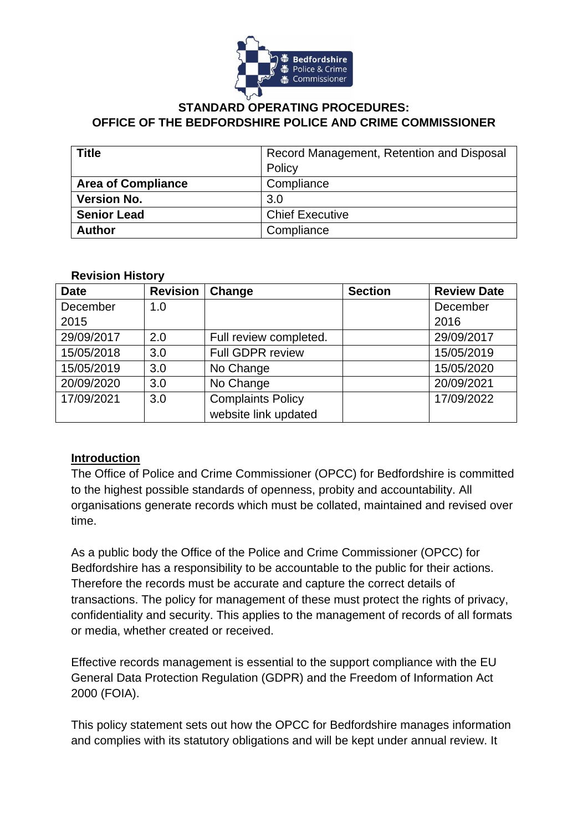

#### **STANDARD OPERATING PROCEDURES: OFFICE OF THE BEDFORDSHIRE POLICE AND CRIME COMMISSIONER**

| <b>Title</b>              | Record Management, Retention and Disposal |
|---------------------------|-------------------------------------------|
|                           | Policy                                    |
| <b>Area of Compliance</b> | Compliance                                |
| <b>Version No.</b>        | 3.0                                       |
| <b>Senior Lead</b>        | <b>Chief Executive</b>                    |
| <b>Author</b>             | Compliance                                |

#### **Revision History**

| <b>Date</b> | <b>Revision</b> | Change                   | <b>Section</b> | <b>Review Date</b> |
|-------------|-----------------|--------------------------|----------------|--------------------|
| December    | 1.0             |                          |                | December           |
| 2015        |                 |                          |                | 2016               |
| 29/09/2017  | 2.0             | Full review completed.   |                | 29/09/2017         |
| 15/05/2018  | 3.0             | <b>Full GDPR review</b>  |                | 15/05/2019         |
| 15/05/2019  | 3.0             | No Change                |                | 15/05/2020         |
| 20/09/2020  | 3.0             | No Change                |                | 20/09/2021         |
| 17/09/2021  | 3.0             | <b>Complaints Policy</b> |                | 17/09/2022         |
|             |                 | website link updated     |                |                    |

### **Introduction**

The Office of Police and Crime Commissioner (OPCC) for Bedfordshire is committed to the highest possible standards of openness, probity and accountability. All organisations generate records which must be collated, maintained and revised over time.

As a public body the Office of the Police and Crime Commissioner (OPCC) for Bedfordshire has a responsibility to be accountable to the public for their actions. Therefore the records must be accurate and capture the correct details of transactions. The policy for management of these must protect the rights of privacy, confidentiality and security. This applies to the management of records of all formats or media, whether created or received.

Effective records management is essential to the support compliance with the EU General Data Protection Regulation (GDPR) and the Freedom of Information Act 2000 (FOIA).

This policy statement sets out how the OPCC for Bedfordshire manages information and complies with its statutory obligations and will be kept under annual review. It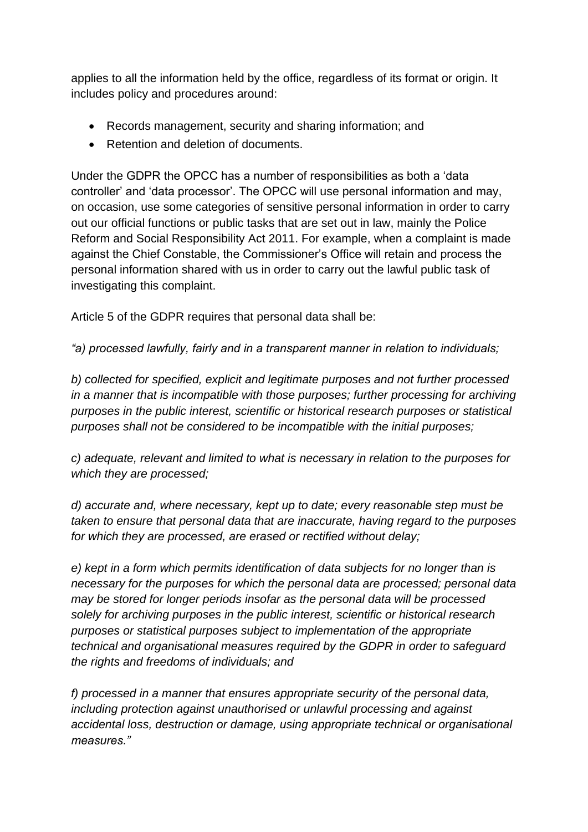applies to all the information held by the office, regardless of its format or origin. It includes policy and procedures around:

- Records management, security and sharing information; and
- Retention and deletion of documents.

Under the GDPR the OPCC has a number of responsibilities as both a 'data controller' and 'data processor'. The OPCC will use personal information and may, on occasion, use some categories of sensitive personal information in order to carry out our official functions or public tasks that are set out in law, mainly the Police Reform and Social Responsibility Act 2011. For example, when a complaint is made against the Chief Constable, the Commissioner's Office will retain and process the personal information shared with us in order to carry out the lawful public task of investigating this complaint.

Article 5 of the GDPR requires that personal data shall be:

*"a) processed lawfully, fairly and in a transparent manner in relation to individuals;*

*b) collected for specified, explicit and legitimate purposes and not further processed in a manner that is incompatible with those purposes; further processing for archiving purposes in the public interest, scientific or historical research purposes or statistical purposes shall not be considered to be incompatible with the initial purposes;*

*c) adequate, relevant and limited to what is necessary in relation to the purposes for which they are processed;*

*d) accurate and, where necessary, kept up to date; every reasonable step must be taken to ensure that personal data that are inaccurate, having regard to the purposes for which they are processed, are erased or rectified without delay;*

*e) kept in a form which permits identification of data subjects for no longer than is necessary for the purposes for which the personal data are processed; personal data may be stored for longer periods insofar as the personal data will be processed solely for archiving purposes in the public interest, scientific or historical research purposes or statistical purposes subject to implementation of the appropriate technical and organisational measures required by the GDPR in order to safeguard the rights and freedoms of individuals; and*

*f) processed in a manner that ensures appropriate security of the personal data, including protection against unauthorised or unlawful processing and against accidental loss, destruction or damage, using appropriate technical or organisational measures."*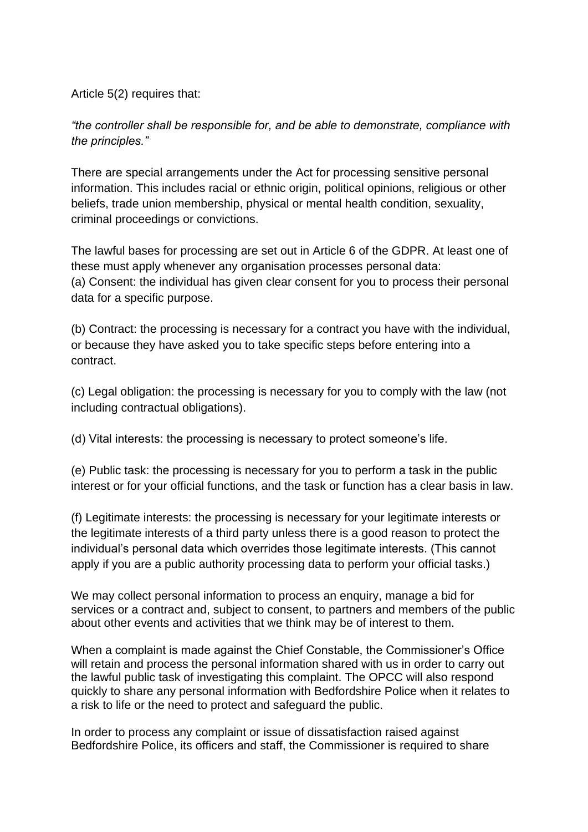Article 5(2) requires that:

*"the controller shall be responsible for, and be able to demonstrate, compliance with the principles."*

There are special arrangements under the Act for processing sensitive personal information. This includes racial or ethnic origin, political opinions, religious or other beliefs, trade union membership, physical or mental health condition, sexuality, criminal proceedings or convictions.

The lawful bases for processing are set out in Article 6 of the GDPR. At least one of these must apply whenever any organisation processes personal data: (a) Consent: the individual has given clear consent for you to process their personal data for a specific purpose.

(b) Contract: the processing is necessary for a contract you have with the individual, or because they have asked you to take specific steps before entering into a contract.

(c) Legal obligation: the processing is necessary for you to comply with the law (not including contractual obligations).

(d) Vital interests: the processing is necessary to protect someone's life.

(e) Public task: the processing is necessary for you to perform a task in the public interest or for your official functions, and the task or function has a clear basis in law.

(f) Legitimate interests: the processing is necessary for your legitimate interests or the legitimate interests of a third party unless there is a good reason to protect the individual's personal data which overrides those legitimate interests. (This cannot apply if you are a public authority processing data to perform your official tasks.)

We may collect personal information to process an enquiry, manage a bid for services or a contract and, subject to consent, to partners and members of the public about other events and activities that we think may be of interest to them.

When a complaint is made against the Chief Constable, the Commissioner's Office will retain and process the personal information shared with us in order to carry out the lawful public task of investigating this complaint. The OPCC will also respond quickly to share any personal information with Bedfordshire Police when it relates to a risk to life or the need to protect and safeguard the public.

In order to process any complaint or issue of dissatisfaction raised against Bedfordshire Police, its officers and staff, the Commissioner is required to share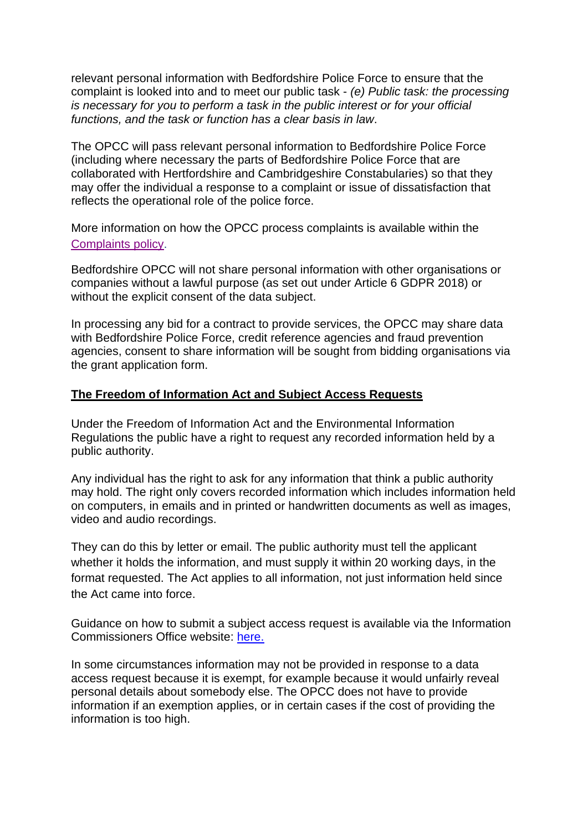relevant personal information with Bedfordshire Police Force to ensure that the complaint is looked into and to meet our public task - *(e) Public task: the processing is necessary for you to perform a task in the public interest or for your official functions, and the task or function has a clear basis in law*.

The OPCC will pass relevant personal information to Bedfordshire Police Force (including where necessary the parts of Bedfordshire Police Force that are collaborated with Hertfordshire and Cambridgeshire Constabularies) so that they may offer the individual a response to a complaint or issue of dissatisfaction that reflects the operational role of the police force.

More information on how the OPCC process complaints is available within the [Complaints policy.](https://www.bedfordshire.pcc.police.uk/download/complaints-policy/)

Bedfordshire OPCC will not share personal information with other organisations or companies without a lawful purpose (as set out under Article 6 GDPR 2018) or without the explicit consent of the data subject.

In processing any bid for a contract to provide services, the OPCC may share data with Bedfordshire Police Force, credit reference agencies and fraud prevention agencies, consent to share information will be sought from bidding organisations via the grant application form.

#### **The Freedom of Information Act and Subject Access Requests**

Under the Freedom of Information Act and the Environmental Information Regulations the public have a right to request any recorded information held by a public authority.

Any individual has the right to ask for any information that think a public authority may hold. The right only covers recorded information which includes information held on computers, in emails and in printed or handwritten documents as well as images, video and audio recordings.

They can do this by letter or email. The public authority must tell the applicant whether it holds the information, and must supply it within 20 working days, in the format requested. The Act applies to all information, not just information held since the Act came into force.

Guidance on how to submit a subject access request is available via the Information Commissioners Office website: [here.](https://ico.org.uk/for-the-public/official-information/)

In some circumstances information may not be provided in response to a data access request because it is exempt, for example because it would unfairly reveal personal details about somebody else. The OPCC does not have to provide information if an exemption applies, or in certain cases if the cost of providing the information is too high.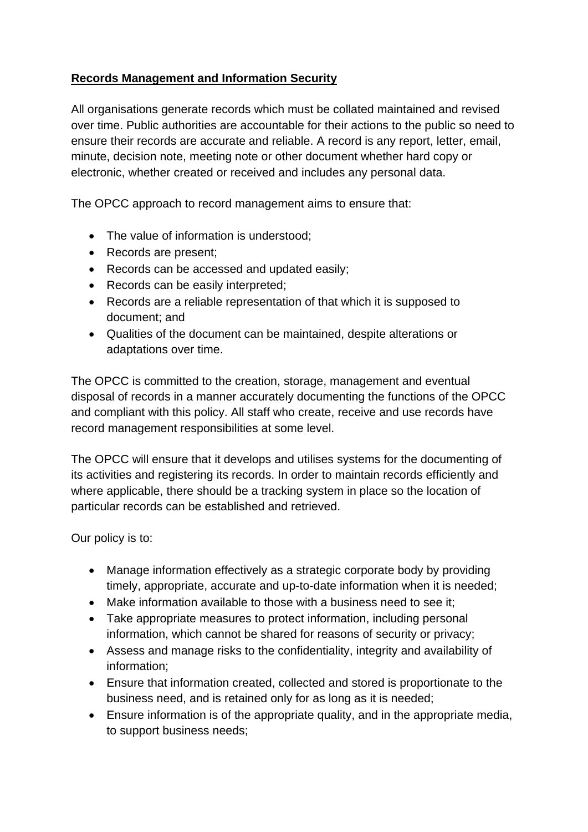## **Records Management and Information Security**

All organisations generate records which must be collated maintained and revised over time. Public authorities are accountable for their actions to the public so need to ensure their records are accurate and reliable. A record is any report, letter, email, minute, decision note, meeting note or other document whether hard copy or electronic, whether created or received and includes any personal data.

The OPCC approach to record management aims to ensure that:

- The value of information is understood;
- Records are present;
- Records can be accessed and updated easily;
- Records can be easily interpreted;
- Records are a reliable representation of that which it is supposed to document; and
- Qualities of the document can be maintained, despite alterations or adaptations over time.

The OPCC is committed to the creation, storage, management and eventual disposal of records in a manner accurately documenting the functions of the OPCC and compliant with this policy. All staff who create, receive and use records have record management responsibilities at some level.

The OPCC will ensure that it develops and utilises systems for the documenting of its activities and registering its records. In order to maintain records efficiently and where applicable, there should be a tracking system in place so the location of particular records can be established and retrieved.

Our policy is to:

- Manage information effectively as a strategic corporate body by providing timely, appropriate, accurate and up-to-date information when it is needed;
- Make information available to those with a business need to see it:
- Take appropriate measures to protect information, including personal information, which cannot be shared for reasons of security or privacy;
- Assess and manage risks to the confidentiality, integrity and availability of information;
- Ensure that information created, collected and stored is proportionate to the business need, and is retained only for as long as it is needed;
- Ensure information is of the appropriate quality, and in the appropriate media, to support business needs;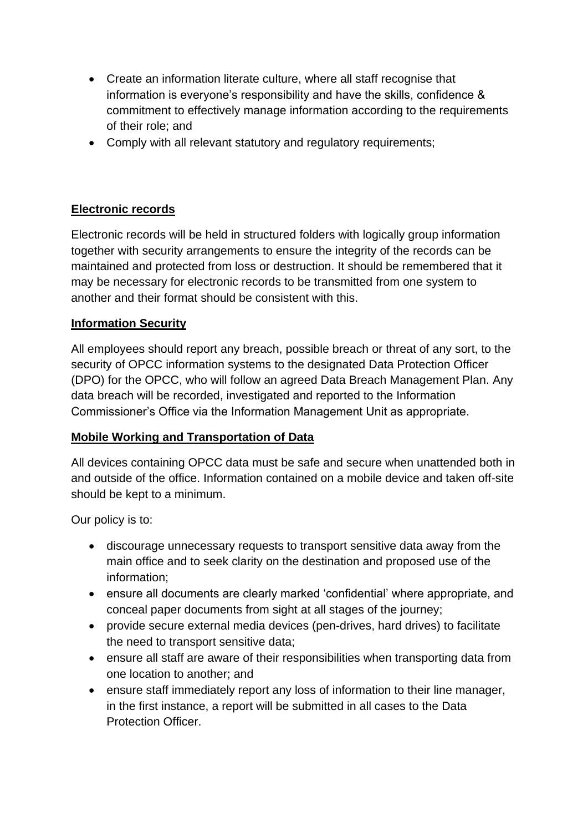- Create an information literate culture, where all staff recognise that information is everyone's responsibility and have the skills, confidence & commitment to effectively manage information according to the requirements of their role; and
- Comply with all relevant statutory and regulatory requirements;

### **Electronic records**

Electronic records will be held in structured folders with logically group information together with security arrangements to ensure the integrity of the records can be maintained and protected from loss or destruction. It should be remembered that it may be necessary for electronic records to be transmitted from one system to another and their format should be consistent with this.

### **Information Security**

All employees should report any breach, possible breach or threat of any sort, to the security of OPCC information systems to the designated Data Protection Officer (DPO) for the OPCC, who will follow an agreed Data Breach Management Plan. Any data breach will be recorded, investigated and reported to the Information Commissioner's Office via the Information Management Unit as appropriate.

### **Mobile Working and Transportation of Data**

All devices containing OPCC data must be safe and secure when unattended both in and outside of the office. Information contained on a mobile device and taken off-site should be kept to a minimum.

Our policy is to:

- discourage unnecessary requests to transport sensitive data away from the main office and to seek clarity on the destination and proposed use of the information;
- ensure all documents are clearly marked 'confidential' where appropriate, and conceal paper documents from sight at all stages of the journey;
- provide secure external media devices (pen-drives, hard drives) to facilitate the need to transport sensitive data;
- ensure all staff are aware of their responsibilities when transporting data from one location to another; and
- ensure staff immediately report any loss of information to their line manager, in the first instance, a report will be submitted in all cases to the Data Protection Officer.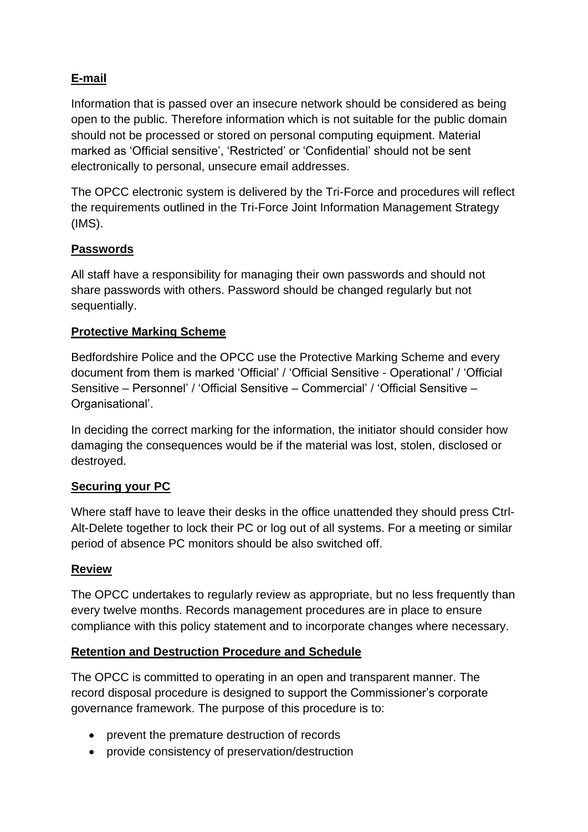## **E-mail**

Information that is passed over an insecure network should be considered as being open to the public. Therefore information which is not suitable for the public domain should not be processed or stored on personal computing equipment. Material marked as 'Official sensitive', 'Restricted' or 'Confidential' should not be sent electronically to personal, unsecure email addresses.

The OPCC electronic system is delivered by the Tri-Force and procedures will reflect the requirements outlined in the Tri-Force Joint Information Management Strategy (IMS).

### **Passwords**

All staff have a responsibility for managing their own passwords and should not share passwords with others. Password should be changed regularly but not sequentially.

### **Protective Marking Scheme**

Bedfordshire Police and the OPCC use the Protective Marking Scheme and every document from them is marked 'Official' / 'Official Sensitive - Operational' / 'Official Sensitive – Personnel' / 'Official Sensitive – Commercial' / 'Official Sensitive – Organisational'.

In deciding the correct marking for the information, the initiator should consider how damaging the consequences would be if the material was lost, stolen, disclosed or destroyed.

### **Securing your PC**

Where staff have to leave their desks in the office unattended they should press Ctrl-Alt-Delete together to lock their PC or log out of all systems. For a meeting or similar period of absence PC monitors should be also switched off.

### **Review**

The OPCC undertakes to regularly review as appropriate, but no less frequently than every twelve months. Records management procedures are in place to ensure compliance with this policy statement and to incorporate changes where necessary.

### **Retention and Destruction Procedure and Schedule**

The OPCC is committed to operating in an open and transparent manner. The record disposal procedure is designed to support the Commissioner's corporate governance framework. The purpose of this procedure is to:

- prevent the premature destruction of records
- provide consistency of preservation/destruction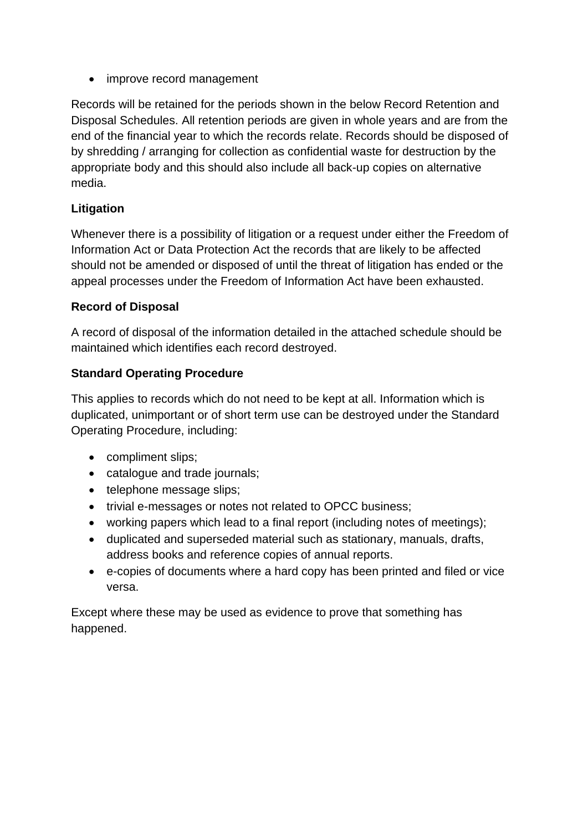• improve record management

Records will be retained for the periods shown in the below Record Retention and Disposal Schedules. All retention periods are given in whole years and are from the end of the financial year to which the records relate. Records should be disposed of by shredding / arranging for collection as confidential waste for destruction by the appropriate body and this should also include all back-up copies on alternative media.

## **Litigation**

Whenever there is a possibility of litigation or a request under either the Freedom of Information Act or Data Protection Act the records that are likely to be affected should not be amended or disposed of until the threat of litigation has ended or the appeal processes under the Freedom of Information Act have been exhausted.

### **Record of Disposal**

A record of disposal of the information detailed in the attached schedule should be maintained which identifies each record destroyed.

### **Standard Operating Procedure**

This applies to records which do not need to be kept at all. Information which is duplicated, unimportant or of short term use can be destroyed under the Standard Operating Procedure, including:

- compliment slips;
- catalogue and trade journals;
- telephone message slips;
- trivial e-messages or notes not related to OPCC business;
- working papers which lead to a final report (including notes of meetings);
- duplicated and superseded material such as stationary, manuals, drafts, address books and reference copies of annual reports.
- e-copies of documents where a hard copy has been printed and filed or vice versa.

Except where these may be used as evidence to prove that something has happened.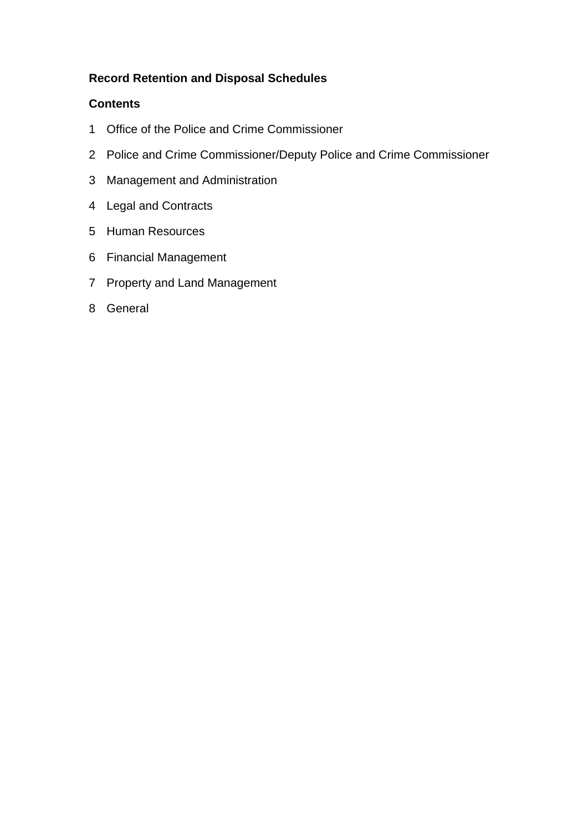### **Record Retention and Disposal Schedules**

### **Contents**

- Office of the Police and Crime Commissioner
- Police and Crime Commissioner/Deputy Police and Crime Commissioner
- Management and Administration
- Legal and Contracts
- Human Resources
- Financial Management
- Property and Land Management
- General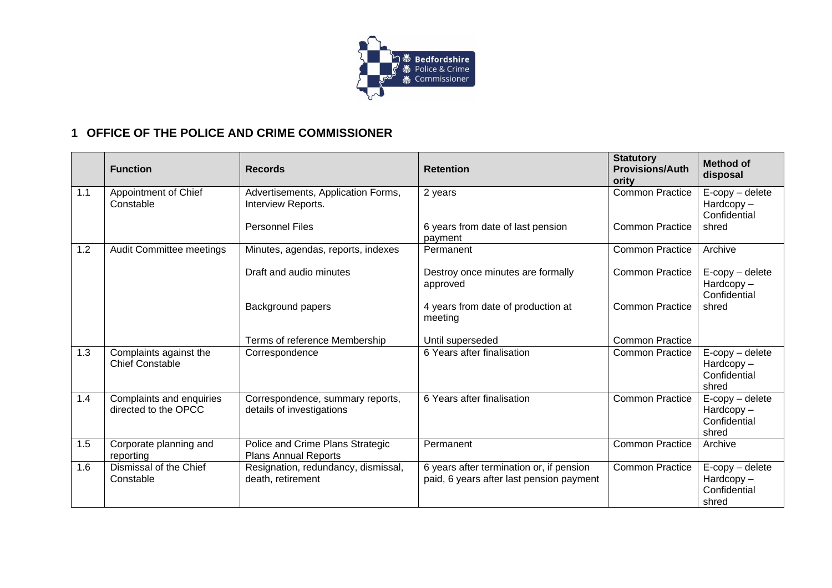

## **1 OFFICE OF THE POLICE AND CRIME COMMISSIONER**

|     | <b>Function</b>                                  | <b>Records</b>                                                  | <b>Retention</b>                                                                     | <b>Statutory</b><br><b>Provisions/Auth</b><br>ority | <b>Method of</b><br>disposal                                |
|-----|--------------------------------------------------|-----------------------------------------------------------------|--------------------------------------------------------------------------------------|-----------------------------------------------------|-------------------------------------------------------------|
| 1.1 | Appointment of Chief<br>Constable                | Advertisements, Application Forms,<br>Interview Reports.        | 2 years                                                                              | <b>Common Practice</b>                              | $E$ -copy – delete<br>Hardcopy-<br>Confidential             |
|     |                                                  | <b>Personnel Files</b>                                          | 6 years from date of last pension<br>payment                                         | <b>Common Practice</b>                              | shred                                                       |
| 1.2 | Audit Committee meetings                         | Minutes, agendas, reports, indexes                              | Permanent                                                                            | <b>Common Practice</b>                              | Archive                                                     |
|     |                                                  | Draft and audio minutes                                         | Destroy once minutes are formally<br>approved                                        | <b>Common Practice</b>                              | $E$ -copy – delete<br>$Hardcopy -$<br>Confidential          |
|     |                                                  | <b>Background papers</b>                                        | 4 years from date of production at<br>meeting                                        | <b>Common Practice</b>                              | shred                                                       |
|     |                                                  | Terms of reference Membership                                   | Until superseded                                                                     | <b>Common Practice</b>                              |                                                             |
| 1.3 | Complaints against the<br><b>Chief Constable</b> | Correspondence                                                  | 6 Years after finalisation                                                           | <b>Common Practice</b>                              | E-copy - delete<br>$Hardcopy -$<br>Confidential<br>shred    |
| 1.4 | Complaints and enquiries<br>directed to the OPCC | Correspondence, summary reports,<br>details of investigations   | 6 Years after finalisation                                                           | <b>Common Practice</b>                              | $E$ -copy – delete<br>Hardcopy-<br>Confidential<br>shred    |
| 1.5 | Corporate planning and<br>reporting              | Police and Crime Plans Strategic<br><b>Plans Annual Reports</b> | Permanent                                                                            | <b>Common Practice</b>                              | Archive                                                     |
| 1.6 | Dismissal of the Chief<br>Constable              | Resignation, redundancy, dismissal,<br>death, retirement        | 6 years after termination or, if pension<br>paid, 6 years after last pension payment | <b>Common Practice</b>                              | $E$ -copy – delete<br>$Hardcopy -$<br>Confidential<br>shred |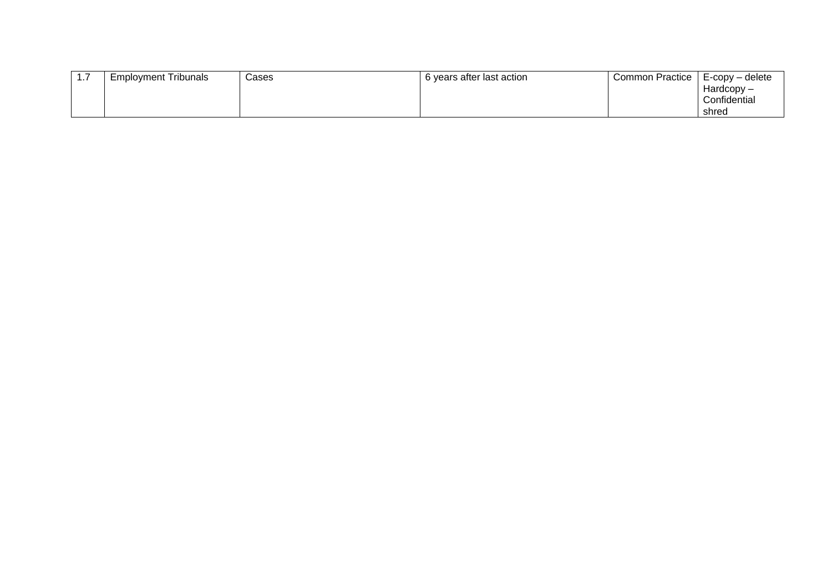| . | <b>Employment Tribunals</b> | Cases | 6 years after last action | Common Practice | LE-copy – delete |
|---|-----------------------------|-------|---------------------------|-----------------|------------------|
|   |                             |       |                           |                 | Hardcopy –       |
|   |                             |       |                           |                 | Confidential     |
|   |                             |       |                           |                 | shred            |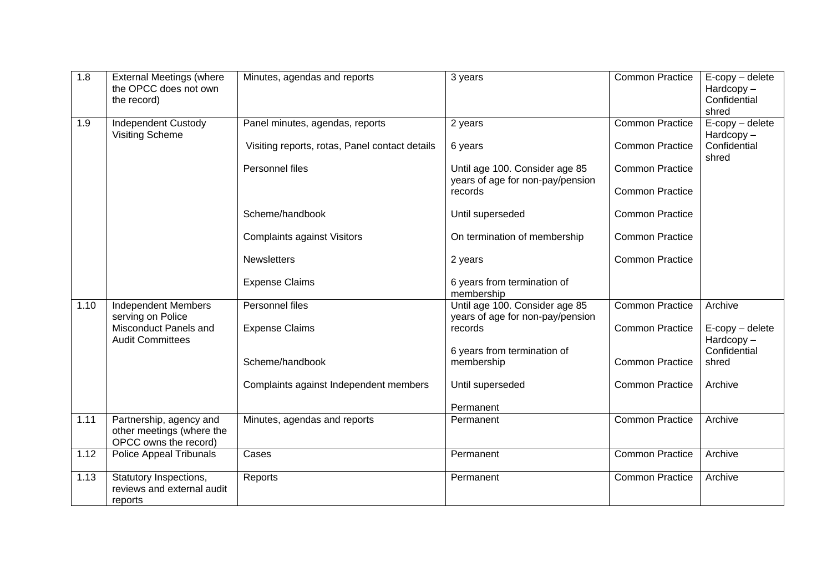| 1.8  | <b>External Meetings (where</b><br>the OPCC does not own<br>the record)       | Minutes, agendas and reports                   | 3 years                                                            | <b>Common Practice</b> | $E$ -copy $-$ delete<br>$Hardcopy -$<br>Confidential<br>shred |
|------|-------------------------------------------------------------------------------|------------------------------------------------|--------------------------------------------------------------------|------------------------|---------------------------------------------------------------|
| 1.9  | Independent Custody<br><b>Visiting Scheme</b>                                 | Panel minutes, agendas, reports                | 2 years                                                            | <b>Common Practice</b> | E-copy - delete<br>$Hardcopy -$                               |
|      |                                                                               | Visiting reports, rotas, Panel contact details | 6 years                                                            | <b>Common Practice</b> | Confidential<br>shred                                         |
|      |                                                                               | Personnel files                                | Until age 100. Consider age 85<br>years of age for non-pay/pension | <b>Common Practice</b> |                                                               |
|      |                                                                               |                                                | records                                                            | <b>Common Practice</b> |                                                               |
|      |                                                                               | Scheme/handbook                                | Until superseded                                                   | <b>Common Practice</b> |                                                               |
|      |                                                                               | <b>Complaints against Visitors</b>             | On termination of membership                                       | <b>Common Practice</b> |                                                               |
|      |                                                                               | <b>Newsletters</b>                             | 2 years                                                            | <b>Common Practice</b> |                                                               |
|      |                                                                               | <b>Expense Claims</b>                          | 6 years from termination of<br>membership                          |                        |                                                               |
| 1.10 | <b>Independent Members</b><br>serving on Police                               | Personnel files                                | Until age 100. Consider age 85<br>years of age for non-pay/pension | <b>Common Practice</b> | Archive                                                       |
|      | Misconduct Panels and<br><b>Audit Committees</b>                              | <b>Expense Claims</b>                          | records                                                            | <b>Common Practice</b> | $E$ -copy – delete<br>Hardcopy-                               |
|      |                                                                               |                                                | 6 years from termination of                                        |                        | Confidential                                                  |
|      |                                                                               | Scheme/handbook                                | membership                                                         | <b>Common Practice</b> | shred                                                         |
|      |                                                                               | Complaints against Independent members         | Until superseded                                                   | <b>Common Practice</b> | Archive                                                       |
|      |                                                                               |                                                | Permanent                                                          |                        |                                                               |
| 1.11 | Partnership, agency and<br>other meetings (where the<br>OPCC owns the record) | Minutes, agendas and reports                   | Permanent                                                          | <b>Common Practice</b> | Archive                                                       |
| 1.12 | Police Appeal Tribunals                                                       | Cases                                          | Permanent                                                          | <b>Common Practice</b> | Archive                                                       |
| 1.13 | Statutory Inspections,<br>reviews and external audit<br>reports               | Reports                                        | Permanent                                                          | <b>Common Practice</b> | Archive                                                       |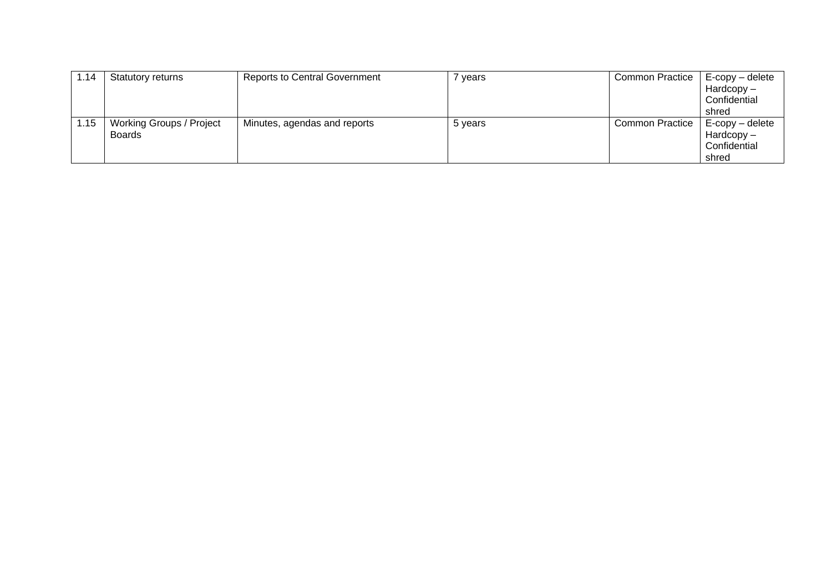| 1.14 | Statutory returns                  | <b>Reports to Central Government</b> | vears   | <b>Common Practice</b> | E-copy – delete<br>$Hardcopy -$<br>Confidential    |
|------|------------------------------------|--------------------------------------|---------|------------------------|----------------------------------------------------|
|      |                                    |                                      |         |                        | shred                                              |
| 1.15 | Working Groups / Project<br>Boards | Minutes, agendas and reports         | 5 years | <b>Common Practice</b> | $E$ -copy – delete<br>$Hardcopy -$<br>Confidential |
|      |                                    |                                      |         |                        | shred                                              |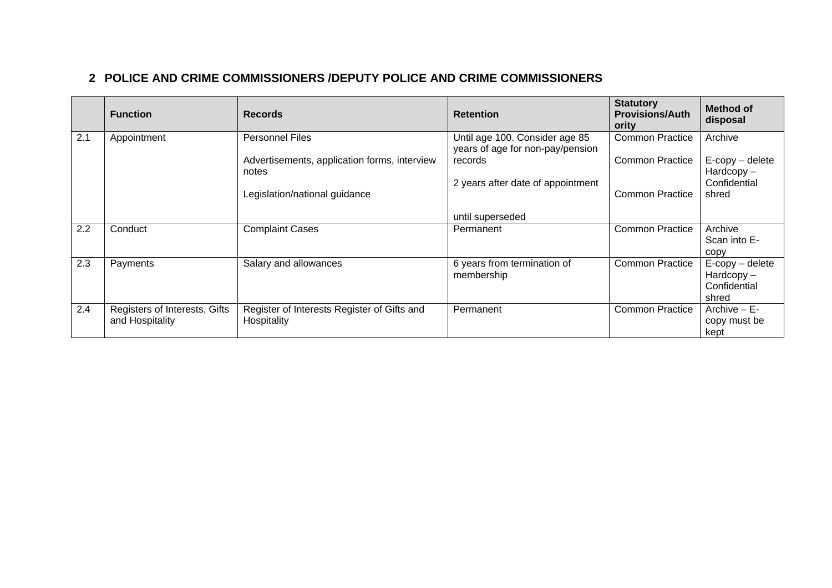# **2 POLICE AND CRIME COMMISSIONERS /DEPUTY POLICE AND CRIME COMMISSIONERS**

|     | <b>Function</b>                                  | <b>Records</b>                                             | <b>Retention</b>                                                   | <b>Statutory</b><br><b>Provisions/Auth</b><br>ority | <b>Method of</b><br>disposal                                |
|-----|--------------------------------------------------|------------------------------------------------------------|--------------------------------------------------------------------|-----------------------------------------------------|-------------------------------------------------------------|
| 2.1 | Appointment                                      | <b>Personnel Files</b>                                     | Until age 100. Consider age 85<br>years of age for non-pay/pension | <b>Common Practice</b>                              | Archive                                                     |
|     |                                                  | Advertisements, application forms, interview<br>notes      | records                                                            | <b>Common Practice</b>                              | $E$ -copy – delete<br>$Hardcopy -$                          |
|     |                                                  | Legislation/national guidance                              | 2 years after date of appointment                                  | <b>Common Practice</b>                              | Confidential<br>shred                                       |
|     |                                                  |                                                            | until superseded                                                   |                                                     |                                                             |
| 2.2 | Conduct                                          | <b>Complaint Cases</b>                                     | Permanent                                                          | <b>Common Practice</b>                              | Archive<br>Scan into E-<br>copy                             |
| 2.3 | Payments                                         | Salary and allowances                                      | 6 years from termination of<br>membership                          | <b>Common Practice</b>                              | $E$ -copy – delete<br>$Hardcopy -$<br>Confidential<br>shred |
| 2.4 | Registers of Interests, Gifts<br>and Hospitality | Register of Interests Register of Gifts and<br>Hospitality | Permanent                                                          | <b>Common Practice</b>                              | Archive $- E -$<br>copy must be<br>kept                     |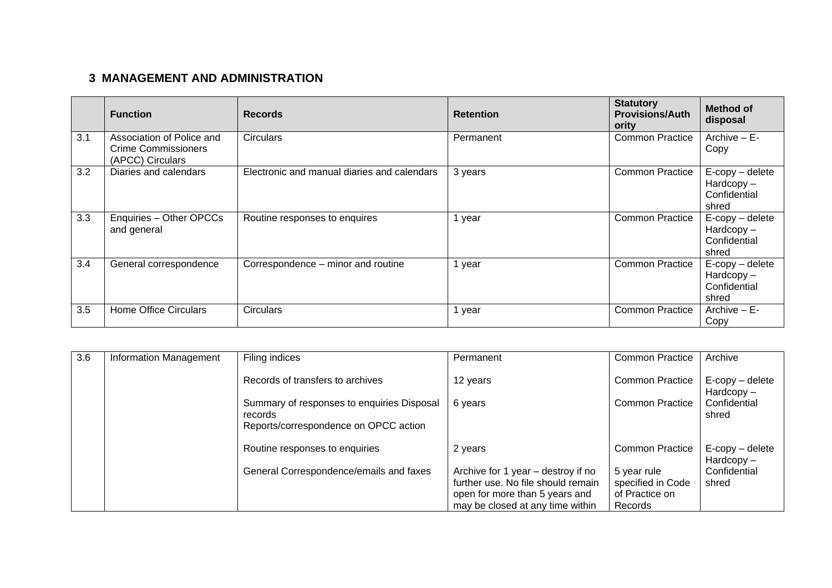# **3 MANAGEMENT AND ADMINISTRATION**

|     | <b>Function</b>                                                             | <b>Records</b>                              | <b>Retention</b> | <b>Statutory</b><br><b>Provisions/Auth</b><br>ority | <b>Method of</b><br>disposal                                |
|-----|-----------------------------------------------------------------------------|---------------------------------------------|------------------|-----------------------------------------------------|-------------------------------------------------------------|
| 3.1 | Association of Police and<br><b>Crime Commissioners</b><br>(APCC) Circulars | <b>Circulars</b>                            | Permanent        | <b>Common Practice</b>                              | Archive - E-<br>Copy                                        |
| 3.2 | Diaries and calendars                                                       | Electronic and manual diaries and calendars | 3 years          | <b>Common Practice</b>                              | $E$ -copy – delete<br>$Hardcopy -$<br>Confidential<br>shred |
| 3.3 | Enquiries - Other OPCCs<br>and general                                      | Routine responses to enquires               | year             | <b>Common Practice</b>                              | $E$ -copy – delete<br>$Hardcopy -$<br>Confidential<br>shred |
| 3.4 | General correspondence                                                      | Correspondence – minor and routine          | year             | <b>Common Practice</b>                              | $E$ -copy – delete<br>$Hardcopy -$<br>Confidential<br>shred |
| 3.5 | <b>Home Office Circulars</b>                                                | <b>Circulars</b>                            | year             | <b>Common Practice</b>                              | Archive $- E -$<br>Copy                                     |

| 3.6 | <b>Information Management</b> | Filing indices                                        | Permanent                                                            | <b>Common Practice</b>              | Archive                            |
|-----|-------------------------------|-------------------------------------------------------|----------------------------------------------------------------------|-------------------------------------|------------------------------------|
|     |                               | Records of transfers to archives                      | 12 years                                                             | <b>Common Practice</b>              | E-copy – delete<br>$Hardcopy -$    |
|     |                               | Summary of responses to enquiries Disposal<br>records | 6 years                                                              | <b>Common Practice</b>              | Confidential<br>shred              |
|     |                               | Reports/correspondence on OPCC action                 |                                                                      |                                     |                                    |
|     |                               | Routine responses to enquiries                        | 2 years                                                              | <b>Common Practice</b>              | $E$ -copy – delete<br>$Hardcopy -$ |
|     |                               | General Correspondence/emails and faxes               | Archive for 1 year – destroy if no                                   | 5 year rule                         | Confidential                       |
|     |                               |                                                       | further use. No file should remain<br>open for more than 5 years and | specified in Code<br>of Practice on | shred                              |
|     |                               |                                                       | may be closed at any time within                                     | Records                             |                                    |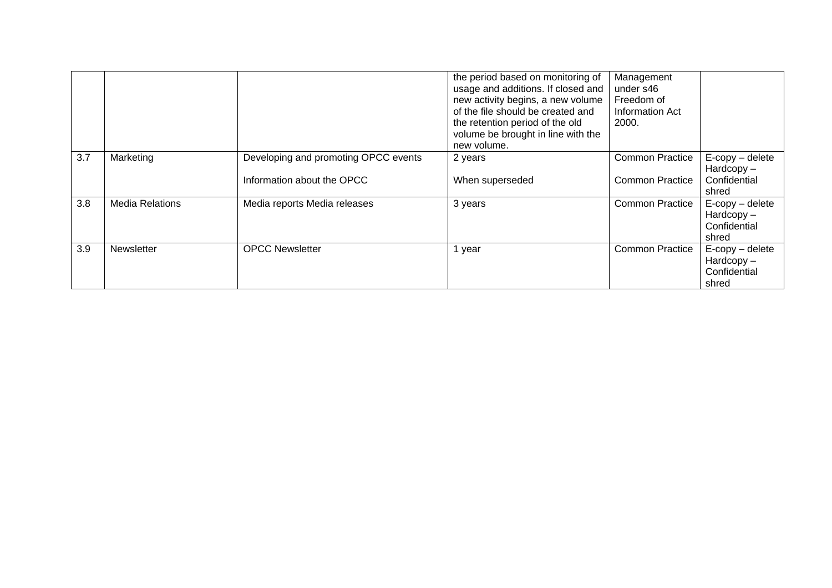|     |                        |                                                                    | the period based on monitoring of<br>usage and additions. If closed and<br>new activity begins, a new volume<br>of the file should be created and<br>the retention period of the old<br>volume be brought in line with the<br>new volume. | Management<br>under s46<br>Freedom of<br>Information Act<br>2000. |                                                             |
|-----|------------------------|--------------------------------------------------------------------|-------------------------------------------------------------------------------------------------------------------------------------------------------------------------------------------------------------------------------------------|-------------------------------------------------------------------|-------------------------------------------------------------|
| 3.7 | Marketing              | Developing and promoting OPCC events<br>Information about the OPCC | 2 years<br>When superseded                                                                                                                                                                                                                | <b>Common Practice</b><br><b>Common Practice</b>                  | E-copy - delete<br>$Hardcopy -$<br>Confidential<br>shred    |
| 3.8 | <b>Media Relations</b> | Media reports Media releases                                       | 3 years                                                                                                                                                                                                                                   | <b>Common Practice</b>                                            | $E$ -copy – delete<br>$Hardcopy -$<br>Confidential<br>shred |
| 3.9 | Newsletter             | <b>OPCC Newsletter</b>                                             | year                                                                                                                                                                                                                                      | <b>Common Practice</b>                                            | $E$ -copy – delete<br>$Hardcopy -$<br>Confidential<br>shred |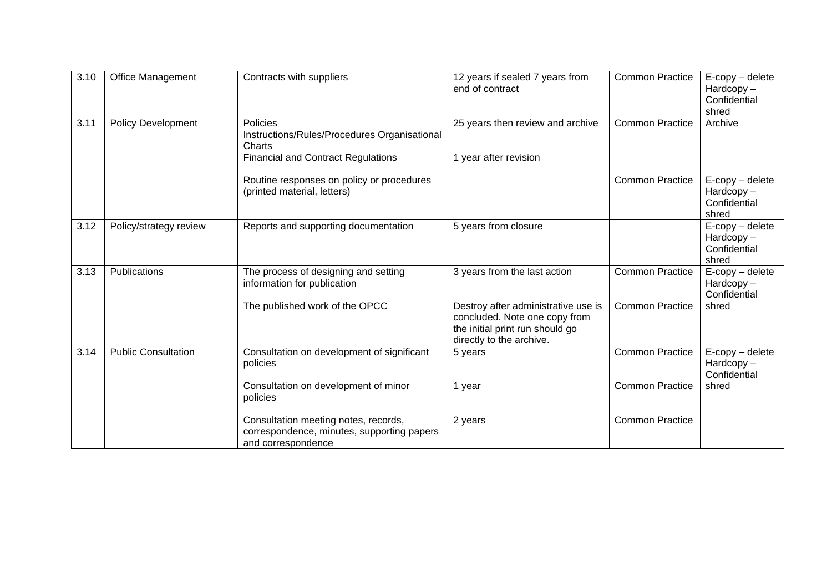| 3.10 | <b>Office Management</b>   | Contracts with suppliers                                                                                 | 12 years if sealed 7 years from<br>end of contract                                                                                  | <b>Common Practice</b> | $E$ -copy – delete<br>Hardcopy-<br>Confidential<br>shred |
|------|----------------------------|----------------------------------------------------------------------------------------------------------|-------------------------------------------------------------------------------------------------------------------------------------|------------------------|----------------------------------------------------------|
| 3.11 | <b>Policy Development</b>  | Policies<br>Instructions/Rules/Procedures Organisational<br>Charts                                       | 25 years then review and archive                                                                                                    | <b>Common Practice</b> | Archive                                                  |
|      |                            | <b>Financial and Contract Regulations</b>                                                                | 1 year after revision                                                                                                               |                        |                                                          |
|      |                            | Routine responses on policy or procedures<br>(printed material, letters)                                 |                                                                                                                                     | <b>Common Practice</b> | $E$ -copy – delete<br>Hardcopy-<br>Confidential<br>shred |
| 3.12 | Policy/strategy review     | Reports and supporting documentation                                                                     | 5 years from closure                                                                                                                |                        | E-copy - delete<br>$Hardcopy -$<br>Confidential<br>shred |
| 3.13 | Publications               | The process of designing and setting<br>information for publication                                      | 3 years from the last action                                                                                                        | <b>Common Practice</b> | E-copy - delete<br>$Hardcopy -$<br>Confidential          |
|      |                            | The published work of the OPCC                                                                           | Destroy after administrative use is<br>concluded. Note one copy from<br>the initial print run should go<br>directly to the archive. | <b>Common Practice</b> | shred                                                    |
| 3.14 | <b>Public Consultation</b> | Consultation on development of significant<br>policies                                                   | 5 years                                                                                                                             | <b>Common Practice</b> | $E$ -copy – delete<br>Hardcopy-<br>Confidential          |
|      |                            | Consultation on development of minor<br>policies                                                         | 1 year                                                                                                                              | <b>Common Practice</b> | shred                                                    |
|      |                            | Consultation meeting notes, records,<br>correspondence, minutes, supporting papers<br>and correspondence | 2 years                                                                                                                             | <b>Common Practice</b> |                                                          |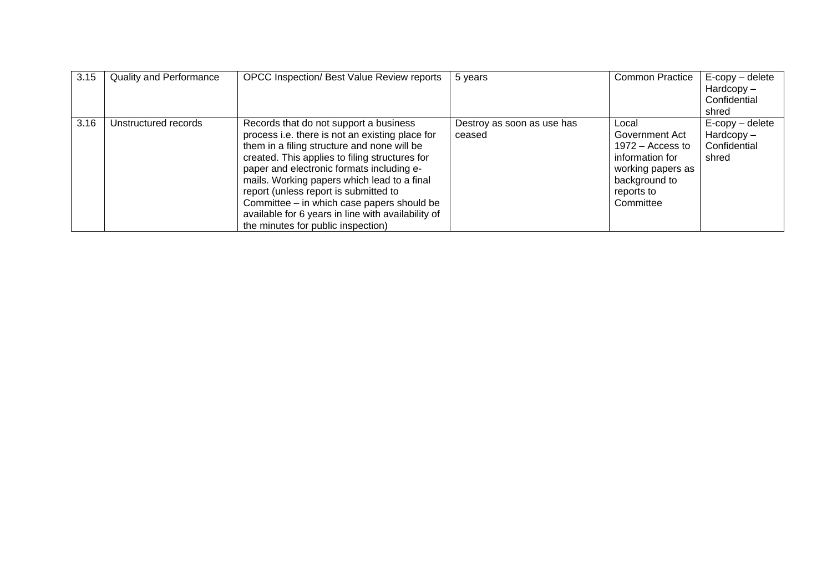| 3.15 | <b>Quality and Performance</b> | <b>OPCC Inspection/ Best Value Review reports</b>                                                                                                                                                                                                                                                                                                                                                                                                                         | 5 years                              | <b>Common Practice</b>                                                                                                            | E-copy - delete<br>$Hardcopy -$<br>Confidential<br>shred    |
|------|--------------------------------|---------------------------------------------------------------------------------------------------------------------------------------------------------------------------------------------------------------------------------------------------------------------------------------------------------------------------------------------------------------------------------------------------------------------------------------------------------------------------|--------------------------------------|-----------------------------------------------------------------------------------------------------------------------------------|-------------------------------------------------------------|
| 3.16 | Unstructured records           | Records that do not support a business<br>process i.e. there is not an existing place for<br>them in a filing structure and none will be<br>created. This applies to filing structures for<br>paper and electronic formats including e-<br>mails. Working papers which lead to a final<br>report (unless report is submitted to<br>Committee – in which case papers should be<br>available for 6 years in line with availability of<br>the minutes for public inspection) | Destroy as soon as use has<br>ceased | Local<br>Government Act<br>$1972 -$ Access to<br>information for<br>working papers as<br>background to<br>reports to<br>Committee | $E$ -copy – delete<br>$Hardcopy -$<br>Confidential<br>shred |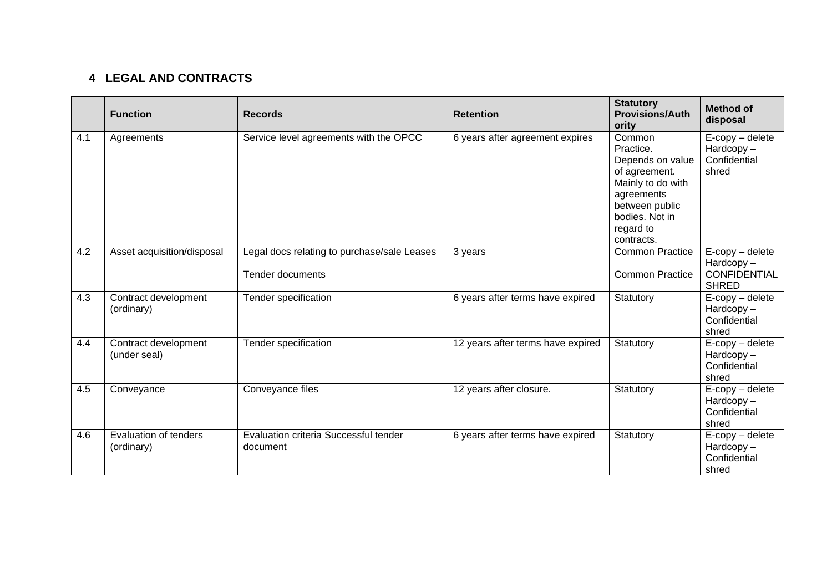# **4 LEGAL AND CONTRACTS**

|     | <b>Function</b>                      | <b>Records</b>                                                         | <b>Retention</b>                  | <b>Statutory</b><br><b>Provisions/Auth</b><br>ority                                                                                                        | <b>Method of</b><br>disposal                                              |
|-----|--------------------------------------|------------------------------------------------------------------------|-----------------------------------|------------------------------------------------------------------------------------------------------------------------------------------------------------|---------------------------------------------------------------------------|
| 4.1 | Agreements                           | Service level agreements with the OPCC                                 | 6 years after agreement expires   | Common<br>Practice.<br>Depends on value<br>of agreement.<br>Mainly to do with<br>agreements<br>between public<br>bodies. Not in<br>regard to<br>contracts. | $E$ -copy – delete<br>$Hardcopy -$<br>Confidential<br>shred               |
| 4.2 | Asset acquisition/disposal           | Legal docs relating to purchase/sale Leases<br><b>Tender documents</b> | 3 years                           | <b>Common Practice</b><br><b>Common Practice</b>                                                                                                           | $E$ -copy – delete<br>$Hardcopy -$<br><b>CONFIDENTIAL</b><br><b>SHRED</b> |
| 4.3 | Contract development<br>(ordinary)   | Tender specification                                                   | 6 years after terms have expired  | Statutory                                                                                                                                                  | $E$ -copy – delete<br>$Hardcopy -$<br>Confidential<br>shred               |
| 4.4 | Contract development<br>(under seal) | Tender specification                                                   | 12 years after terms have expired | Statutory                                                                                                                                                  | E-copy - delete<br>$Hardcopy -$<br>Confidential<br>shred                  |
| 4.5 | Conveyance                           | Conveyance files                                                       | 12 years after closure.           | Statutory                                                                                                                                                  | E-copy - delete<br>Hardcopy-<br>Confidential<br>shred                     |
| 4.6 | Evaluation of tenders<br>(ordinary)  | Evaluation criteria Successful tender<br>document                      | 6 years after terms have expired  | Statutory                                                                                                                                                  | $E$ -copy – delete<br>$Hardcopy -$<br>Confidential<br>shred               |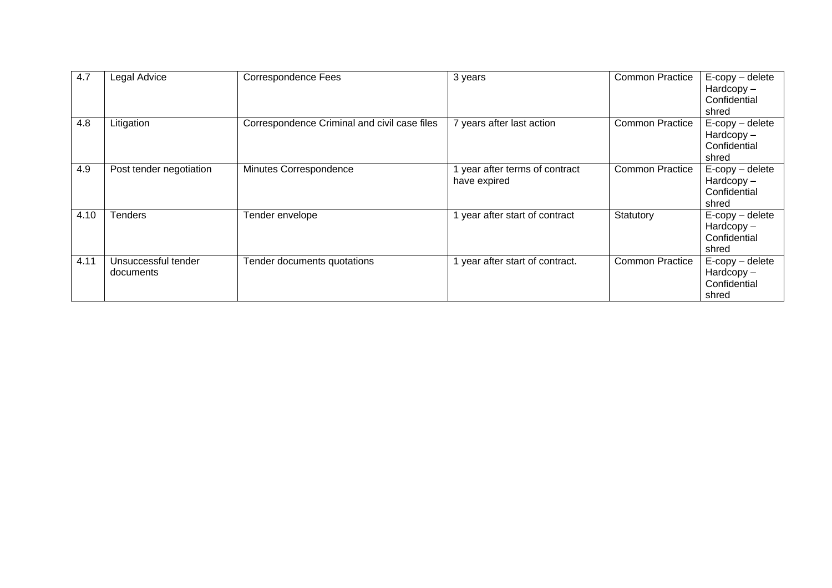| 4.7  | Legal Advice                     | <b>Correspondence Fees</b>                   | 3 years                                      | <b>Common Practice</b> | $E$ -copy – delete<br>$Hardcopy -$<br>Confidential<br>shred |
|------|----------------------------------|----------------------------------------------|----------------------------------------------|------------------------|-------------------------------------------------------------|
| 4.8  | Litigation                       | Correspondence Criminal and civil case files | 7 years after last action                    | <b>Common Practice</b> | E-copy - delete<br>$Hardcopy -$<br>Confidential<br>shred    |
| 4.9  | Post tender negotiation          | Minutes Correspondence                       | year after terms of contract<br>have expired | <b>Common Practice</b> | $E$ -copy – delete<br>$Hardcopy -$<br>Confidential<br>shred |
| 4.10 | <b>Tenders</b>                   | Tender envelope                              | year after start of contract                 | Statutory              | $E$ -copy – delete<br>$Hardcopy -$<br>Confidential<br>shred |
| 4.11 | Unsuccessful tender<br>documents | Tender documents quotations                  | year after start of contract.                | <b>Common Practice</b> | $E$ -copy – delete<br>$Hardcopy -$<br>Confidential<br>shred |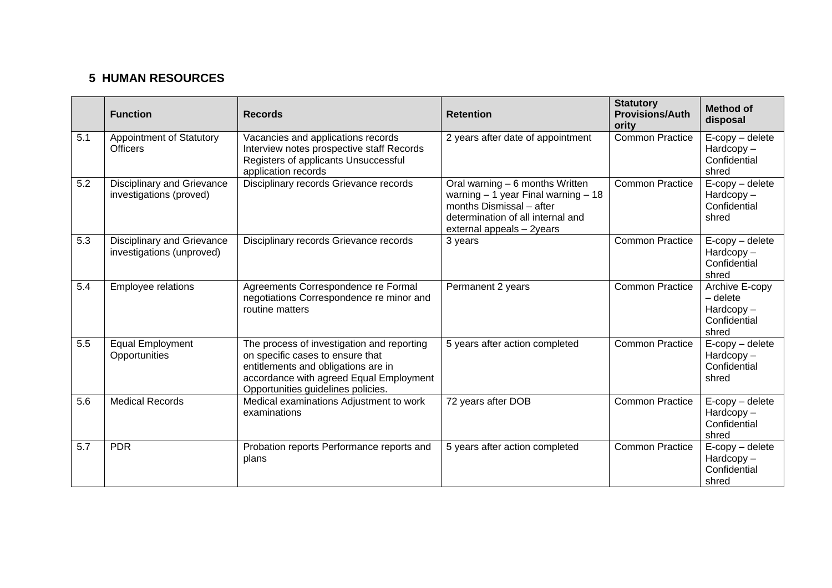## **5 HUMAN RESOURCES**

|     | <b>Function</b>                                         | <b>Records</b>                                                                                                                                                                                         | <b>Retention</b>                                                                                                                                                       | <b>Statutory</b><br><b>Provisions/Auth</b><br>ority | <b>Method of</b><br>disposal                                             |
|-----|---------------------------------------------------------|--------------------------------------------------------------------------------------------------------------------------------------------------------------------------------------------------------|------------------------------------------------------------------------------------------------------------------------------------------------------------------------|-----------------------------------------------------|--------------------------------------------------------------------------|
| 5.1 | <b>Appointment of Statutory</b><br><b>Officers</b>      | Vacancies and applications records<br>Interview notes prospective staff Records<br>Registers of applicants Unsuccessful<br>application records                                                         | 2 years after date of appointment                                                                                                                                      | <b>Common Practice</b>                              | $E$ -copy – delete<br>$Hardcopy -$<br>Confidential<br>shred              |
| 5.2 | Disciplinary and Grievance<br>investigations (proved)   | Disciplinary records Grievance records                                                                                                                                                                 | Oral warning - 6 months Written<br>warning $-1$ year Final warning $-18$<br>months Dismissal - after<br>determination of all internal and<br>external appeals - 2years | <b>Common Practice</b>                              | $E$ -copy – delete<br>$Hardcopy -$<br>Confidential<br>shred              |
| 5.3 | Disciplinary and Grievance<br>investigations (unproved) | Disciplinary records Grievance records                                                                                                                                                                 | 3 years                                                                                                                                                                | <b>Common Practice</b>                              | E-copy - delete<br>$Hardcopy -$<br>Confidential<br>shred                 |
| 5.4 | Employee relations                                      | Agreements Correspondence re Formal<br>negotiations Correspondence re minor and<br>routine matters                                                                                                     | Permanent 2 years                                                                                                                                                      | <b>Common Practice</b>                              | Archive E-copy<br>$-\theta$ delete<br>Hardcopy-<br>Confidential<br>shred |
| 5.5 | Equal Employment<br>Opportunities                       | The process of investigation and reporting<br>on specific cases to ensure that<br>entitlements and obligations are in<br>accordance with agreed Equal Employment<br>Opportunities guidelines policies. | 5 years after action completed                                                                                                                                         | <b>Common Practice</b>                              | E-copy - delete<br>Hardcopy-<br>Confidential<br>shred                    |
| 5.6 | <b>Medical Records</b>                                  | Medical examinations Adjustment to work<br>examinations                                                                                                                                                | 72 years after DOB                                                                                                                                                     | <b>Common Practice</b>                              | $E$ -copy – delete<br>$Hardcopy -$<br>Confidential<br>shred              |
| 5.7 | <b>PDR</b>                                              | Probation reports Performance reports and<br>plans                                                                                                                                                     | 5 years after action completed                                                                                                                                         | <b>Common Practice</b>                              | $E$ -copy – delete<br>Hardcopy-<br>Confidential<br>shred                 |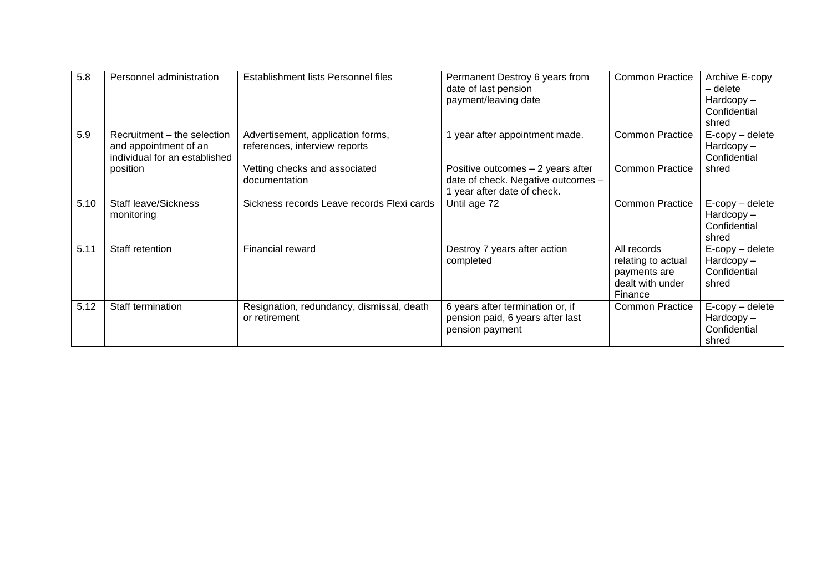| 5.8  | Personnel administration                                                              | Establishment lists Personnel files                                | Permanent Destroy 6 years from<br>date of last pension<br>payment/leaving date                         | <b>Common Practice</b>                                                           | Archive E-copy<br>$-\theta$ delete<br>$Hardcopy -$<br>Confidential<br>shred |
|------|---------------------------------------------------------------------------------------|--------------------------------------------------------------------|--------------------------------------------------------------------------------------------------------|----------------------------------------------------------------------------------|-----------------------------------------------------------------------------|
| 5.9  | Recruitment – the selection<br>and appointment of an<br>individual for an established | Advertisement, application forms,<br>references, interview reports | year after appointment made.                                                                           | <b>Common Practice</b>                                                           | $E$ -copy – delete<br>$Hardcopy -$<br>Confidential                          |
|      | position                                                                              | Vetting checks and associated<br>documentation                     | Positive outcomes - 2 years after<br>date of check. Negative outcomes -<br>1 year after date of check. | <b>Common Practice</b>                                                           | shred                                                                       |
| 5.10 | <b>Staff leave/Sickness</b><br>monitoring                                             | Sickness records Leave records Flexi cards                         | Until age 72                                                                                           | <b>Common Practice</b>                                                           | $E$ -copy – delete<br>$Hardcopy -$<br>Confidential<br>shred                 |
| 5.11 | Staff retention                                                                       | Financial reward                                                   | Destroy 7 years after action<br>completed                                                              | All records<br>relating to actual<br>payments are<br>dealt with under<br>Finance | $E$ -copy – delete<br>$Hardcopy -$<br>Confidential<br>shred                 |
| 5.12 | Staff termination                                                                     | Resignation, redundancy, dismissal, death<br>or retirement         | 6 years after termination or, if<br>pension paid, 6 years after last<br>pension payment                | <b>Common Practice</b>                                                           | $E$ -copy – delete<br>$Hardcopy -$<br>Confidential<br>shred                 |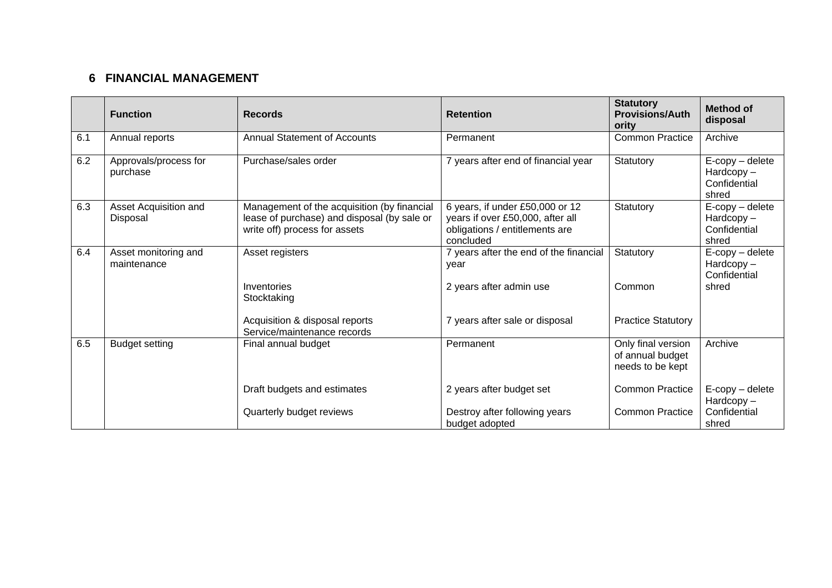## **6 FINANCIAL MANAGEMENT**

|     | <b>Function</b>                     | <b>Records</b>                                                                                                              | <b>Retention</b>                                                                                                   | <b>Statutory</b><br><b>Provisions/Auth</b><br>ority        | <b>Method of</b><br>disposal                                |
|-----|-------------------------------------|-----------------------------------------------------------------------------------------------------------------------------|--------------------------------------------------------------------------------------------------------------------|------------------------------------------------------------|-------------------------------------------------------------|
| 6.1 | Annual reports                      | <b>Annual Statement of Accounts</b>                                                                                         | Permanent                                                                                                          | <b>Common Practice</b>                                     | Archive                                                     |
| 6.2 | Approvals/process for<br>purchase   | Purchase/sales order                                                                                                        | 7 years after end of financial year                                                                                | Statutory                                                  | $E$ -copy – delete<br>$Hardcopy -$<br>Confidential<br>shred |
| 6.3 | Asset Acquisition and<br>Disposal   | Management of the acquisition (by financial<br>lease of purchase) and disposal (by sale or<br>write off) process for assets | 6 years, if under £50,000 or 12<br>years if over £50,000, after all<br>obligations / entitlements are<br>concluded | Statutory                                                  | $E$ -copy – delete<br>$Hardcopy -$<br>Confidential<br>shred |
| 6.4 | Asset monitoring and<br>maintenance | Asset registers                                                                                                             | 7 years after the end of the financial<br>year                                                                     | Statutory                                                  | $E$ -copy – delete<br>$Hardcopy -$<br>Confidential          |
|     |                                     | Inventories<br>Stocktaking                                                                                                  | 2 years after admin use                                                                                            | Common                                                     | shred                                                       |
|     |                                     | Acquisition & disposal reports<br>Service/maintenance records                                                               | 7 years after sale or disposal                                                                                     | <b>Practice Statutory</b>                                  |                                                             |
| 6.5 | <b>Budget setting</b>               | Final annual budget                                                                                                         | Permanent                                                                                                          | Only final version<br>of annual budget<br>needs to be kept | Archive                                                     |
|     |                                     | Draft budgets and estimates                                                                                                 | 2 years after budget set                                                                                           | <b>Common Practice</b>                                     | $E$ -copy – delete<br>Hardcopy-                             |
|     |                                     | Quarterly budget reviews                                                                                                    | Destroy after following years<br>budget adopted                                                                    | <b>Common Practice</b>                                     | Confidential<br>shred                                       |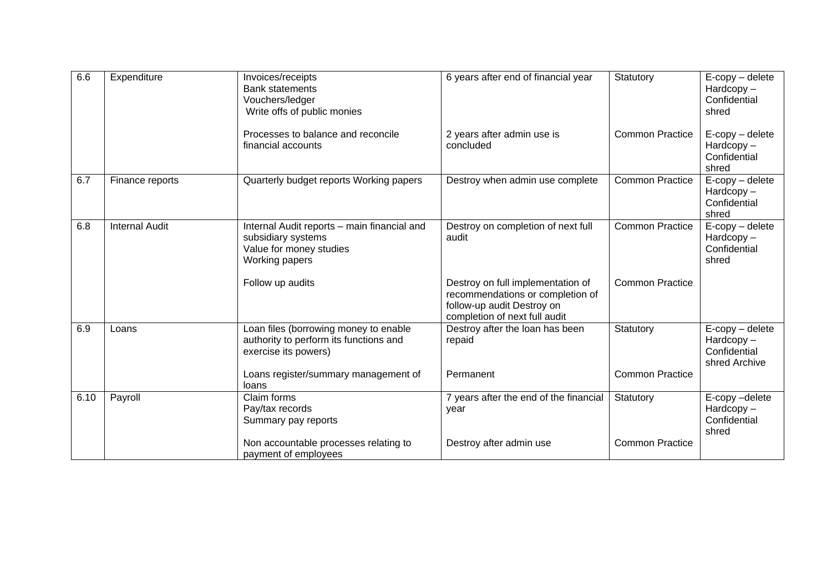| 6.6  | Expenditure           | Invoices/receipts<br><b>Bank statements</b><br>Vouchers/ledger<br>Write offs of public monies                  | 6 years after end of financial year                                                                                                  | Statutory              | $E$ -copy – delete<br>Hardcopy-<br>Confidential<br>shred         |
|------|-----------------------|----------------------------------------------------------------------------------------------------------------|--------------------------------------------------------------------------------------------------------------------------------------|------------------------|------------------------------------------------------------------|
|      |                       | Processes to balance and reconcile<br>financial accounts                                                       | 2 years after admin use is<br>concluded                                                                                              | <b>Common Practice</b> | $E$ -copy – delete<br>Hardcopy-<br>Confidential<br>shred         |
| 6.7  | Finance reports       | Quarterly budget reports Working papers                                                                        | Destroy when admin use complete                                                                                                      | <b>Common Practice</b> | E-copy - delete<br>Hardcopy-<br>Confidential<br>shred            |
| 6.8  | <b>Internal Audit</b> | Internal Audit reports - main financial and<br>subsidiary systems<br>Value for money studies<br>Working papers | Destroy on completion of next full<br>audit                                                                                          | <b>Common Practice</b> | $E$ -copy – delete<br>Hardcopy-<br>Confidential<br>shred         |
|      |                       | Follow up audits                                                                                               | Destroy on full implementation of<br>recommendations or completion of<br>follow-up audit Destroy on<br>completion of next full audit | <b>Common Practice</b> |                                                                  |
| 6.9  | Loans                 | Loan files (borrowing money to enable<br>authority to perform its functions and<br>exercise its powers)        | Destroy after the loan has been<br>repaid                                                                                            | Statutory              | $E$ -copy – delete<br>Hardcopy-<br>Confidential<br>shred Archive |
|      |                       | Loans register/summary management of<br>loans                                                                  | Permanent                                                                                                                            | <b>Common Practice</b> |                                                                  |
| 6.10 | Payroll               | Claim forms<br>Pay/tax records<br>Summary pay reports                                                          | 7 years after the end of the financial<br>year                                                                                       | Statutory              | E-copy-delete<br>Hardcopy-<br>Confidential<br>shred              |
|      |                       | Non accountable processes relating to<br>payment of employees                                                  | Destroy after admin use                                                                                                              | <b>Common Practice</b> |                                                                  |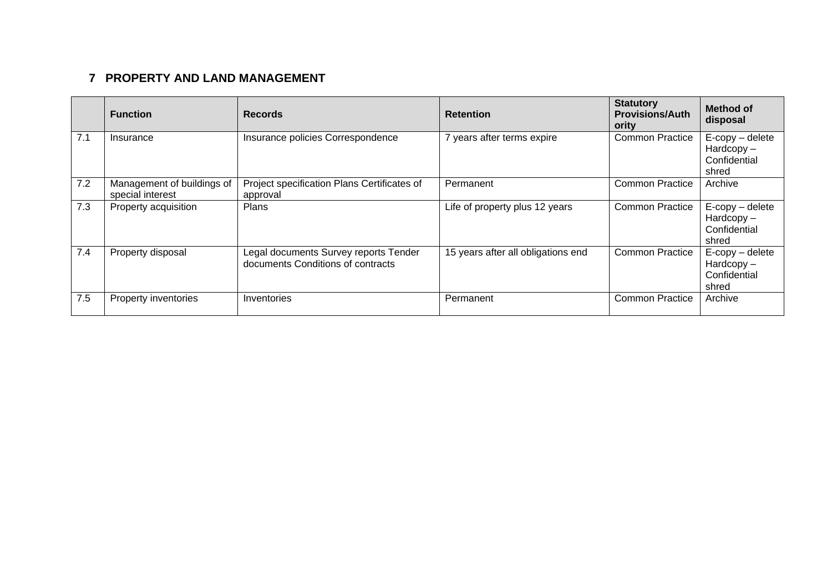# **7 PROPERTY AND LAND MANAGEMENT**

|     | <b>Function</b>                                | <b>Records</b>                                                             | <b>Retention</b>                   | <b>Statutory</b><br><b>Provisions/Auth</b><br>ority | <b>Method of</b><br>disposal                                |
|-----|------------------------------------------------|----------------------------------------------------------------------------|------------------------------------|-----------------------------------------------------|-------------------------------------------------------------|
| 7.1 | Insurance                                      | Insurance policies Correspondence                                          | 7 years after terms expire         | <b>Common Practice</b>                              | $E$ -copy – delete<br>$Hardcopy -$<br>Confidential<br>shred |
| 7.2 | Management of buildings of<br>special interest | Project specification Plans Certificates of<br>approval                    | Permanent                          | <b>Common Practice</b>                              | Archive                                                     |
| 7.3 | Property acquisition                           | <b>Plans</b>                                                               | Life of property plus 12 years     | <b>Common Practice</b>                              | $E$ -copy – delete<br>$Hardcopy -$<br>Confidential<br>shred |
| 7.4 | Property disposal                              | Legal documents Survey reports Tender<br>documents Conditions of contracts | 15 years after all obligations end | <b>Common Practice</b>                              | $E$ -copy – delete<br>$Hardcopy -$<br>Confidential<br>shred |
| 7.5 | Property inventories                           | Inventories                                                                | Permanent                          | <b>Common Practice</b>                              | Archive                                                     |